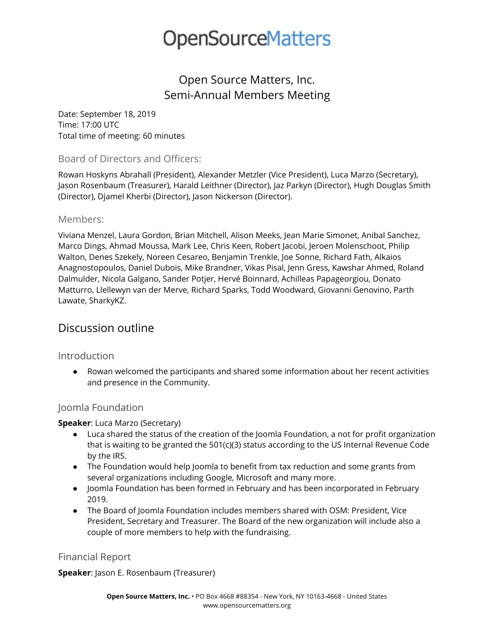# **OpenSourceMatters**

# Open Source Matters, Inc. Semi-Annual Members Meeting

Date: September 18, 2019 Time: 17:00 UTC Total time of meeting: 60 minutes

### Board of Directors and Officers:

Rowan Hoskyns Abrahall (President), Alexander Metzler (Vice President), Luca Marzo (Secretary), Jason Rosenbaum (Treasurer), Harald Leithner (Director), Jaz Parkyn (Director), Hugh Douglas Smith (Director), Djamel Kherbi (Director), Jason Nickerson (Director).

#### Members:

Viviana Menzel, Laura Gordon, Brian Mitchell, Alison Meeks, Jean Marie Simonet, Anibal Sanchez, Marco Dings, Ahmad Moussa, Mark Lee, Chris Keen, Robert Jacobi, Jeroen Molenschoot, Philip Walton, Denes Szekely, Noreen Cesareo, Benjamin Trenkle, Joe Sonne, Richard Fath, Alkaios Anagnostopoulos, Daniel Dubois, Mike Brandner, Vikas Pisal, Jenn Gress, Kawshar Ahmed, Roland Dalmulder, Nicola Galgano, Sander Potjer, Hervé Boinnard, Achilleas Papageorgiou, Donato Matturro, Llellewyn van der Merve, Richard Sparks, Todd Woodward, Giovanni Genovino, Parth Lawate, SharkyKZ.

## Discussion outline

#### Introduction

● Rowan welcomed the participants and shared some information about her recent activities and presence in the Community.

### Joomla Foundation

#### **Speaker**: Luca Marzo (Secretary)

- Luca shared the status of the creation of the Joomla Foundation, a not for profit organization that is waiting to be granted the 501(c)(3) status according to the US Internal Revenue Code by the IRS.
- The Foundation would help Joomla to benefit from tax reduction and some grants from several organizations including Google, Microsoft and many more.
- Joomla Foundation has been formed in February and has been incorporated in February 2019.
- The Board of Joomla Foundation includes members shared with OSM: President, Vice President, Secretary and Treasurer. The Board of the new organization will include also a couple of more members to help with the fundraising.

### Financial Report

**Speaker**: Jason E. Rosenbaum (Treasurer)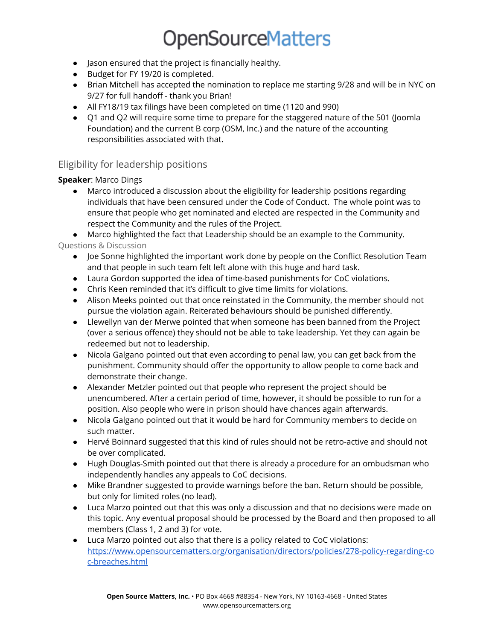# **OpenSourceMatters**

- Jason ensured that the project is financially healthy.
- Budget for FY 19/20 is completed.
- Brian Mitchell has accepted the nomination to replace me starting 9/28 and will be in NYC on 9/27 for full handoff - thank you Brian!
- All FY18/19 tax filings have been completed on time (1120 and 990)
- Q1 and Q2 will require some time to prepare for the staggered nature of the 501 (Joomla Foundation) and the current B corp (OSM, Inc.) and the nature of the accounting responsibilities associated with that.

## Eligibility for leadership positions

### **Speaker**: Marco Dings

● Marco introduced a discussion about the eligibility for leadership positions regarding individuals that have been censured under the Code of Conduct. The whole point was to ensure that people who get nominated and elected are respected in the Community and respect the Community and the rules of the Project.

● Marco highlighted the fact that Leadership should be an example to the Community. Questions & Discussion

- Joe Sonne highlighted the important work done by people on the Conflict Resolution Team and that people in such team felt left alone with this huge and hard task.
- Laura Gordon supported the idea of time-based punishments for CoC violations.
- Chris Keen reminded that it's difficult to give time limits for violations.
- Alison Meeks pointed out that once reinstated in the Community, the member should not pursue the violation again. Reiterated behaviours should be punished differently.
- Llewellyn van der Merwe pointed that when someone has been banned from the Project (over a serious offence) they should not be able to take leadership. Yet they can again be redeemed but not to leadership.
- Nicola Galgano pointed out that even according to penal law, you can get back from the punishment. Community should offer the opportunity to allow people to come back and demonstrate their change.
- Alexander Metzler pointed out that people who represent the project should be unencumbered. After a certain period of time, however, it should be possible to run for a position. Also people who were in prison should have chances again afterwards.
- Nicola Galgano pointed out that it would be hard for Community members to decide on such matter.
- Hervé Boinnard suggested that this kind of rules should not be retro-active and should not be over complicated.
- Hugh Douglas-Smith pointed out that there is already a procedure for an ombudsman who independently handles any appeals to CoC decisions.
- Mike Brandner suggested to provide warnings before the ban. Return should be possible, but only for limited roles (no lead).
- Luca Marzo pointed out that this was only a discussion and that no decisions were made on this topic. Any eventual proposal should be processed by the Board and then proposed to all members (Class 1, 2 and 3) for vote.
- Luca Marzo pointed out also that there is a policy related to CoC violations: [https://www.opensourcematters.org/organisation/directors/policies/278-policy-regarding-co](https://www.opensourcematters.org/organisation/directors/policies/278-policy-regarding-coc-breaches.html) [c-breaches.html](https://www.opensourcematters.org/organisation/directors/policies/278-policy-regarding-coc-breaches.html)